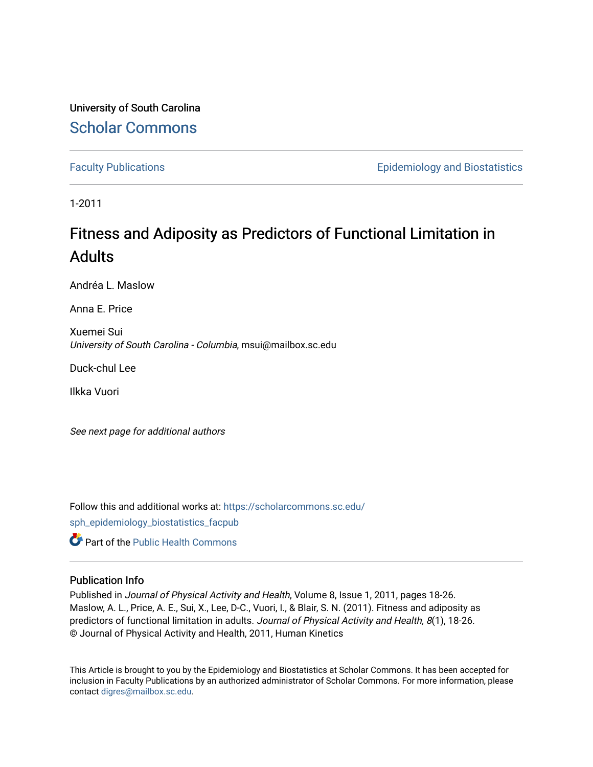University of South Carolina [Scholar Commons](https://scholarcommons.sc.edu/) 

[Faculty Publications](https://scholarcommons.sc.edu/sph_epidemiology_biostatistics_facpub) **Example 2018** Epidemiology and Biostatistics

1-2011

# Fitness and Adiposity as Predictors of Functional Limitation in Adults

Andréa L. Maslow

Anna E. Price

Xuemei Sui University of South Carolina - Columbia, msui@mailbox.sc.edu

Duck-chul Lee

Ilkka Vuori

See next page for additional authors

Follow this and additional works at: [https://scholarcommons.sc.edu/](https://scholarcommons.sc.edu/sph_epidemiology_biostatistics_facpub?utm_source=scholarcommons.sc.edu%2Fsph_epidemiology_biostatistics_facpub%2F365&utm_medium=PDF&utm_campaign=PDFCoverPages) [sph\\_epidemiology\\_biostatistics\\_facpub](https://scholarcommons.sc.edu/sph_epidemiology_biostatistics_facpub?utm_source=scholarcommons.sc.edu%2Fsph_epidemiology_biostatistics_facpub%2F365&utm_medium=PDF&utm_campaign=PDFCoverPages) 

**C** Part of the Public Health Commons

## Publication Info

Published in Journal of Physical Activity and Health, Volume 8, Issue 1, 2011, pages 18-26. Maslow, A. L., Price, A. E., Sui, X., Lee, D-C., Vuori, I., & Blair, S. N. (2011). Fitness and adiposity as predictors of functional limitation in adults. Journal of Physical Activity and Health, 8(1), 18-26. © Journal of Physical Activity and Health, 2011, Human Kinetics

This Article is brought to you by the Epidemiology and Biostatistics at Scholar Commons. It has been accepted for inclusion in Faculty Publications by an authorized administrator of Scholar Commons. For more information, please contact [digres@mailbox.sc.edu.](mailto:digres@mailbox.sc.edu)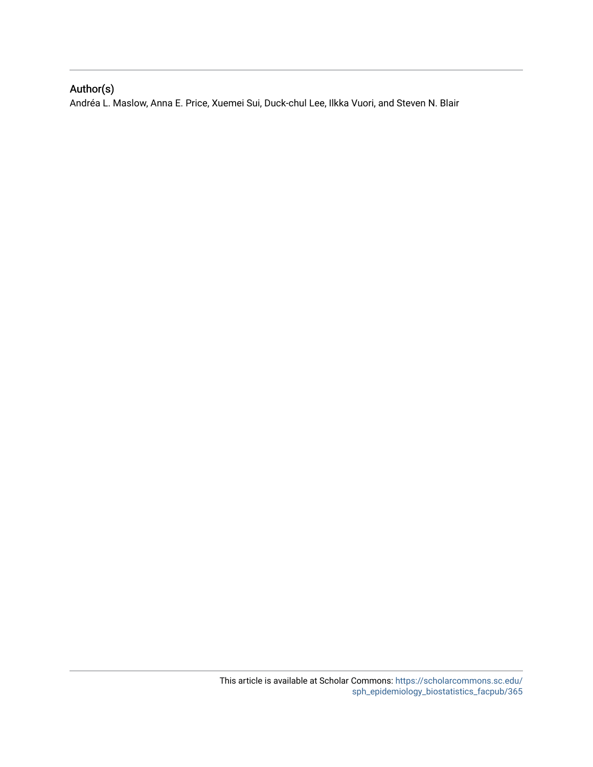## Author(s)

Andréa L. Maslow, Anna E. Price, Xuemei Sui, Duck-chul Lee, Ilkka Vuori, and Steven N. Blair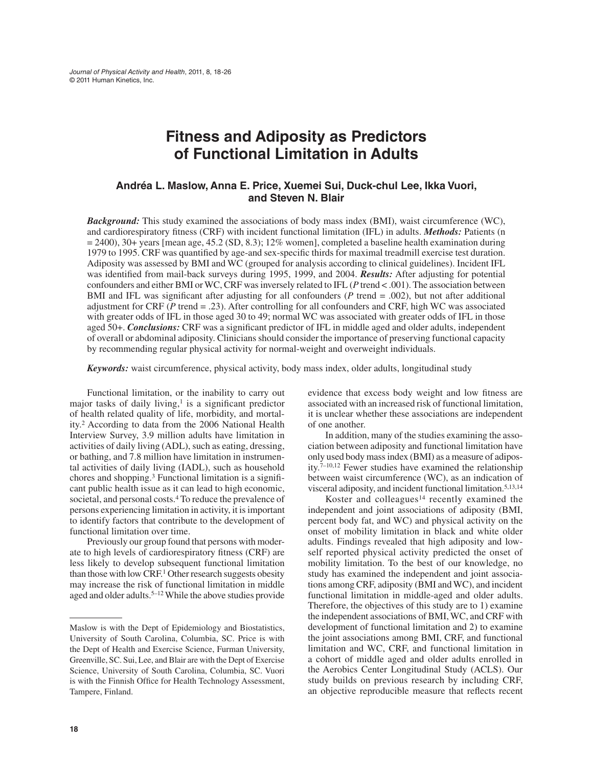## **Fitness and Adiposity as Predictors of Functional Limitation in Adults**

## **Andréa L. Maslow, Anna E. Price, Xuemei Sui, Duck-chul Lee, Ikka Vuori, and Steven N. Blair**

*Background:* This study examined the associations of body mass index (BMI), waist circumference (WC), and cardiorespiratory fitness (CRF) with incident functional limitation (IFL) in adults. *Methods:* Patients (n  $= 2400$ ), 30+ years [mean age, 45.2 (SD, 8.3); 12% women], completed a baseline health examination during 1979 to 1995. CRF was quantified by age-and sex-specific thirds for maximal treadmill exercise test duration. Adiposity was assessed by BMI and WC (grouped for analysis according to clinical guidelines). Incident IFL was identified from mail-back surveys during 1995, 1999, and 2004. *Results:* After adjusting for potential confounders and either BMI or WC, CRF was inversely related to IFL (*P* trend < .001). The association between BMI and IFL was significant after adjusting for all confounders  $(P \text{ trend} = .002)$ , but not after additional adjustment for CRF ( $P$  trend = .23). After controlling for all confounders and CRF, high WC was associated with greater odds of IFL in those aged 30 to 49; normal WC was associated with greater odds of IFL in those aged 50+. *Conclusions:* CRF was a significant predictor of IFL in middle aged and older adults, independent of overall or abdominal adiposity. Clinicians should consider the importance of preserving functional capacity by recommending regular physical activity for normal-weight and overweight individuals.

*Keywords:* waist circumference, physical activity, body mass index, older adults, longitudinal study

Functional limitation, or the inability to carry out major tasks of daily living, $\frac{1}{1}$  is a significant predictor of health related quality of life, morbidity, and mortality.2 According to data from the 2006 National Health Interview Survey, 3.9 million adults have limitation in activities of daily living (ADL), such as eating, dressing, or bathing, and 7.8 million have limitation in instrumental activities of daily living (IADL), such as household chores and shopping.3 Functional limitation is a significant public health issue as it can lead to high economic, societal, and personal costs.<sup>4</sup> To reduce the prevalence of persons experiencing limitation in activity, it is important to identify factors that contribute to the development of functional limitation over time.

Previously our group found that persons with moderate to high levels of cardiorespiratory fitness (CRF) are less likely to develop subsequent functional limitation than those with low CRF.1 Other research suggests obesity may increase the risk of functional limitation in middle aged and older adults.<sup>5–12</sup> While the above studies provide

evidence that excess body weight and low fitness are associated with an increased risk of functional limitation, it is unclear whether these associations are independent of one another.

In addition, many of the studies examining the association between adiposity and functional limitation have only used body mass index (BMI) as a measure of adiposity.7–10,12 Fewer studies have examined the relationship between waist circumference (WC), as an indication of visceral adiposity, and incident functional limitation.5,13,14

Koster and colleagues<sup>14</sup> recently examined the independent and joint associations of adiposity (BMI, percent body fat, and WC) and physical activity on the onset of mobility limitation in black and white older adults. Findings revealed that high adiposity and lowself reported physical activity predicted the onset of mobility limitation. To the best of our knowledge, no study has examined the independent and joint associations among CRF, adiposity (BMI and WC), and incident functional limitation in middle-aged and older adults. Therefore, the objectives of this study are to 1) examine the independent associations of BMI, WC, and CRF with development of functional limitation and 2) to examine the joint associations among BMI, CRF, and functional limitation and WC, CRF, and functional limitation in a cohort of middle aged and older adults enrolled in the Aerobics Center Longitudinal Study (ACLS). Our study builds on previous research by including CRF, an objective reproducible measure that reflects recent

Maslow is with the Dept of Epidemiology and Biostatistics, University of South Carolina, Columbia, SC. Price is with the Dept of Health and Exercise Science, Furman University, Greenville, SC. Sui, Lee, and Blair are with the Dept of Exercise Science, University of South Carolina, Columbia, SC. Vuori is with the Finnish Office for Health Technology Assessment, Tampere, Finland.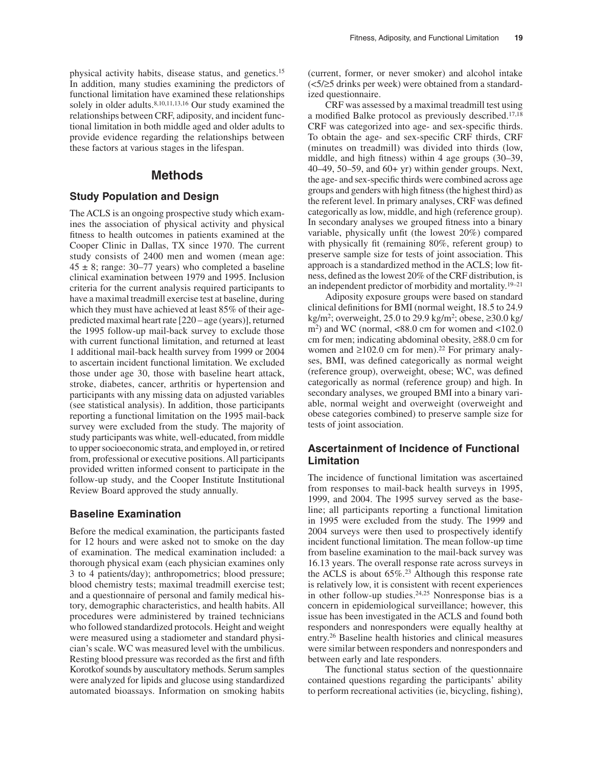physical activity habits, disease status, and genetics.15 In addition, many studies examining the predictors of functional limitation have examined these relationships solely in older adults.<sup>8,10,11,13,16</sup> Our study examined the relationships between CRF, adiposity, and incident functional limitation in both middle aged and older adults to provide evidence regarding the relationships between these factors at various stages in the lifespan.

## **Methods**

## **Study Population and Design**

The ACLS is an ongoing prospective study which examines the association of physical activity and physical fitness to health outcomes in patients examined at the Cooper Clinic in Dallas, TX since 1970. The current study consists of 2400 men and women (mean age:  $45 \pm 8$ ; range: 30–77 years) who completed a baseline clinical examination between 1979 and 1995. Inclusion criteria for the current analysis required participants to have a maximal treadmill exercise test at baseline, during which they must have achieved at least 85% of their agepredicted maximal heart rate [220 – age (years)], returned the 1995 follow-up mail-back survey to exclude those with current functional limitation, and returned at least 1 additional mail-back health survey from 1999 or 2004 to ascertain incident functional limitation. We excluded those under age 30, those with baseline heart attack, stroke, diabetes, cancer, arthritis or hypertension and participants with any missing data on adjusted variables (see statistical analysis). In addition, those participants reporting a functional limitation on the 1995 mail-back survey were excluded from the study. The majority of study participants was white, well-educated, from middle to upper socioeconomic strata, and employed in, or retired from, professional or executive positions. All participants provided written informed consent to participate in the follow-up study, and the Cooper Institute Institutional Review Board approved the study annually.

#### **Baseline Examination**

Before the medical examination, the participants fasted for 12 hours and were asked not to smoke on the day of examination. The medical examination included: a thorough physical exam (each physician examines only 3 to 4 patients/day); anthropometrics; blood pressure; blood chemistry tests; maximal treadmill exercise test; and a questionnaire of personal and family medical history, demographic characteristics, and health habits. All procedures were administered by trained technicians who followed standardized protocols. Height and weight were measured using a stadiometer and standard physician's scale. WC was measured level with the umbilicus. Resting blood pressure was recorded as the first and fifth Korotkof sounds by auscultatory methods. Serum samples were analyzed for lipids and glucose using standardized automated bioassays. Information on smoking habits

(current, former, or never smoker) and alcohol intake (<5/≥5 drinks per week) were obtained from a standardized questionnaire.

CRF was assessed by a maximal treadmill test using a modified Balke protocol as previously described.17,18 CRF was categorized into age- and sex-specific thirds. To obtain the age- and sex-specific CRF thirds, CRF (minutes on treadmill) was divided into thirds (low, middle, and high fitness) within 4 age groups (30–39,  $40-49$ ,  $50-59$ , and  $60+yr$ ) within gender groups. Next, the age- and sex-specific thirds were combined across age groups and genders with high fitness (the highest third) as the referent level. In primary analyses, CRF was defined categorically as low, middle, and high (reference group). In secondary analyses we grouped fitness into a binary variable, physically unfit (the lowest 20%) compared with physically fit (remaining 80%, referent group) to preserve sample size for tests of joint association. This approach is a standardized method in the ACLS; low fitness, defined as the lowest 20% of the CRF distribution, is an independent predictor of morbidity and mortality.19–21

Adiposity exposure groups were based on standard clinical definitions for BMI (normal weight, 18.5 to 24.9 kg/m2; overweight, 25.0 to 29.9 kg/m2; obese, ≥30.0 kg/  $\mu$ <sup>2</sup>) and WC (normal, <88.0 cm for women and <102.0 cm for men; indicating abdominal obesity, ≥88.0 cm for women and  $\geq 102.0$  cm for men).<sup>22</sup> For primary analyses, BMI, was defined categorically as normal weight (reference group), overweight, obese; WC, was defined categorically as normal (reference group) and high. In secondary analyses, we grouped BMI into a binary variable, normal weight and overweight (overweight and obese categories combined) to preserve sample size for tests of joint association.

## **Ascertainment of Incidence of Functional Limitation**

The incidence of functional limitation was ascertained from responses to mail-back health surveys in 1995, 1999, and 2004. The 1995 survey served as the baseline; all participants reporting a functional limitation in 1995 were excluded from the study. The 1999 and 2004 surveys were then used to prospectively identify incident functional limitation. The mean follow-up time from baseline examination to the mail-back survey was 16.13 years. The overall response rate across surveys in the ACLS is about 65%.23 Although this response rate is relatively low, it is consistent with recent experiences in other follow-up studies. $24,25$  Nonresponse bias is a concern in epidemiological surveillance; however, this issue has been investigated in the ACLS and found both responders and nonresponders were equally healthy at entry.26 Baseline health histories and clinical measures were similar between responders and nonresponders and between early and late responders.

The functional status section of the questionnaire contained questions regarding the participants' ability to perform recreational activities (ie, bicycling, fishing),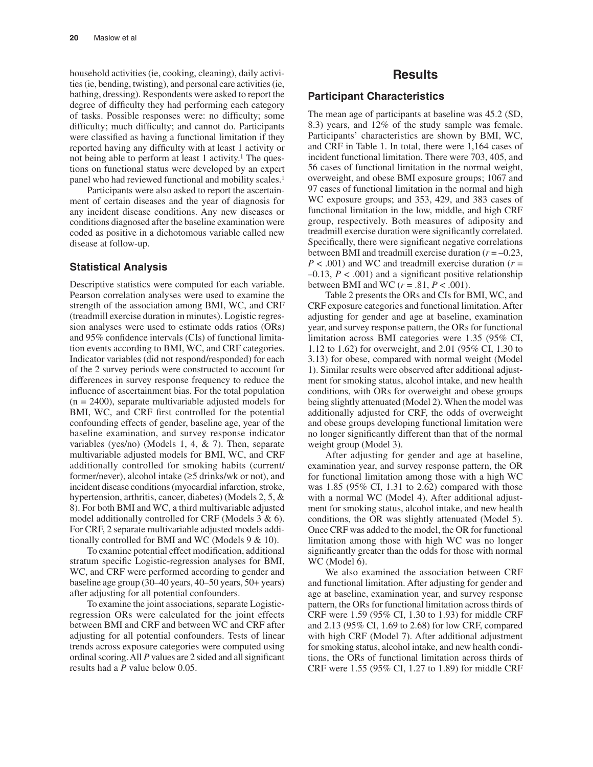household activities (ie, cooking, cleaning), daily activities (ie, bending, twisting), and personal care activities (ie, bathing, dressing). Respondents were asked to report the degree of difficulty they had performing each category of tasks. Possible responses were: no difficulty; some difficulty; much difficulty; and cannot do. Participants were classified as having a functional limitation if they reported having any difficulty with at least 1 activity or not being able to perform at least 1 activity.<sup>1</sup> The questions on functional status were developed by an expert panel who had reviewed functional and mobility scales.<sup>1</sup>

Participants were also asked to report the ascertainment of certain diseases and the year of diagnosis for any incident disease conditions. Any new diseases or conditions diagnosed after the baseline examination were coded as positive in a dichotomous variable called new disease at follow-up.

#### **Statistical Analysis**

Descriptive statistics were computed for each variable. Pearson correlation analyses were used to examine the strength of the association among BMI, WC, and CRF (treadmill exercise duration in minutes). Logistic regression analyses were used to estimate odds ratios (ORs) and 95% confidence intervals (CIs) of functional limitation events according to BMI, WC, and CRF categories. Indicator variables (did not respond/responded) for each of the 2 survey periods were constructed to account for differences in survey response frequency to reduce the influence of ascertainment bias. For the total population  $(n = 2400)$ , separate multivariable adjusted models for BMI, WC, and CRF first controlled for the potential confounding effects of gender, baseline age, year of the baseline examination, and survey response indicator variables (yes/no) (Models 1, 4, & 7). Then, separate multivariable adjusted models for BMI, WC, and CRF additionally controlled for smoking habits (current/ former/never), alcohol intake (≥5 drinks/wk or not), and incident disease conditions (myocardial infarction, stroke, hypertension, arthritis, cancer, diabetes) (Models 2, 5, & 8). For both BMI and WC, a third multivariable adjusted model additionally controlled for CRF (Models 3 & 6). For CRF, 2 separate multivariable adjusted models additionally controlled for BMI and WC (Models 9 & 10).

To examine potential effect modification, additional stratum specific Logistic-regression analyses for BMI, WC, and CRF were performed according to gender and baseline age group (30–40 years, 40–50 years, 50+ years) after adjusting for all potential confounders.

To examine the joint associations, separate Logisticregression ORs were calculated for the joint effects between BMI and CRF and between WC and CRF after adjusting for all potential confounders. Tests of linear trends across exposure categories were computed using ordinal scoring. All *P* values are 2 sided and all significant results had a *P* value below 0.05.

## **Results**

#### **Participant Characteristics**

The mean age of participants at baseline was 45.2 (SD, 8.3) years, and 12% of the study sample was female. Participants' characteristics are shown by BMI, WC, and CRF in Table 1. In total, there were 1,164 cases of incident functional limitation. There were 703, 405, and 56 cases of functional limitation in the normal weight, overweight, and obese BMI exposure groups; 1067 and 97 cases of functional limitation in the normal and high WC exposure groups; and 353, 429, and 383 cases of functional limitation in the low, middle, and high CRF group, respectively. Both measures of adiposity and treadmill exercise duration were significantly correlated. Specifically, there were significant negative correlations between BMI and treadmill exercise duration (*r* = –0.23, *P* < .001) and WC and treadmill exercise duration (*r* =  $-0.13$ ,  $P < .001$ ) and a significant positive relationship between BMI and WC  $(r = .81, P < .001)$ .

Table 2 presents the ORs and CIs for BMI, WC, and CRF exposure categories and functional limitation. After adjusting for gender and age at baseline, examination year, and survey response pattern, the ORs for functional limitation across BMI categories were 1.35 (95% CI, 1.12 to 1.62) for overweight, and 2.01 (95% CI, 1.30 to 3.13) for obese, compared with normal weight (Model 1). Similar results were observed after additional adjustment for smoking status, alcohol intake, and new health conditions, with ORs for overweight and obese groups being slightly attenuated (Model 2). When the model was additionally adjusted for CRF, the odds of overweight and obese groups developing functional limitation were no longer significantly different than that of the normal weight group (Model 3).

After adjusting for gender and age at baseline, examination year, and survey response pattern, the OR for functional limitation among those with a high WC was 1.85 (95% CI, 1.31 to 2.62) compared with those with a normal WC (Model 4). After additional adjustment for smoking status, alcohol intake, and new health conditions, the OR was slightly attenuated (Model 5). Once CRF was added to the model, the OR for functional limitation among those with high WC was no longer significantly greater than the odds for those with normal WC (Model 6).

We also examined the association between CRF and functional limitation. After adjusting for gender and age at baseline, examination year, and survey response pattern, the ORs for functional limitation across thirds of CRF were 1.59 (95% CI, 1.30 to 1.93) for middle CRF and 2.13 (95% CI, 1.69 to 2.68) for low CRF, compared with high CRF (Model 7). After additional adjustment for smoking status, alcohol intake, and new health conditions, the ORs of functional limitation across thirds of CRF were 1.55 (95% CI, 1.27 to 1.89) for middle CRF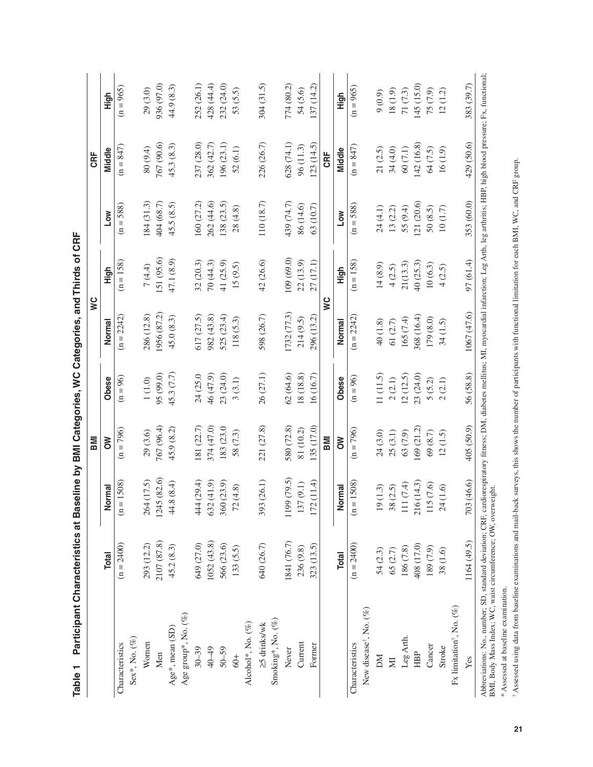|                                                                                                                                                                                                                                                                           | Participant Characteristics at Baseline by BMI Categories, WC Categories, and Thirds of CRF |                                 | BMI         |                                   |              | S           |             | CRF         |             |
|---------------------------------------------------------------------------------------------------------------------------------------------------------------------------------------------------------------------------------------------------------------------------|---------------------------------------------------------------------------------------------|---------------------------------|-------------|-----------------------------------|--------------|-------------|-------------|-------------|-------------|
|                                                                                                                                                                                                                                                                           | <b>Total</b>                                                                                | Normal                          | δ           | Obese                             | Normal       | High        | <b>Low</b>  | Middle      | High        |
| Characteristics                                                                                                                                                                                                                                                           | $(n = 2400)$                                                                                | $= 1508$<br>$\ddot{\mathbf{e}}$ | $(n = 796)$ | $(n = 96)$                        | $(n = 2242)$ | $(n = 158)$ | $(n = 588)$ | $(n = 847)$ | $(n = 965)$ |
| Sex*, No. (%)                                                                                                                                                                                                                                                             |                                                                                             |                                 |             |                                   |              |             |             |             |             |
| Women                                                                                                                                                                                                                                                                     | 293 (12.2)                                                                                  | 264 (17.5)                      | 29 (3.6)    | $1(1.0)$                          | 286 (12.8)   | 7(4.4)      | 184(31.3)   | 80 (9.4)    | 29 (3.0)    |
| Men                                                                                                                                                                                                                                                                       | 2107 (87.8)                                                                                 | 1245 (82.6)                     | 767 (96.4)  | 95 (99.0)                         | 1956 (87.2)  | [51 (95.6)  | 404 (68.7)  | 767 (90.6)  | 936 (97.0)  |
| Age*, mean (SD)                                                                                                                                                                                                                                                           | 45.2(8.3)                                                                                   | 44.8 (8.4)                      | 45.9 (8.2)  | 45.3 (7.7)                        | 45.0(8.3)    | 47.1 (8.9)  | 45.5 (8.5)  | 45.3 (8.3)  | 44.9 (8.3)  |
| Age group*, No. (%)                                                                                                                                                                                                                                                       |                                                                                             |                                 |             |                                   |              |             |             |             |             |
| $30 - 39$                                                                                                                                                                                                                                                                 | 649 (27.0)                                                                                  | 444 (29.4)                      | 181 (22.7)  | 24 (25.0                          | 517 (27.5)   | 32(20.3)    | 160 (27.2)  | 237 (28.0)  | 252 (26.1)  |
| 40-49                                                                                                                                                                                                                                                                     | 1052 (43.8)                                                                                 | 632(41.9)                       | 374 (47.0)  | 46 (47.9)                         | 982 (43.8)   | 70(44.3)    | 262 (44.6)  | 362 (42.7)  | 428 (44.4)  |
| $50 - 59$                                                                                                                                                                                                                                                                 | 566 (23.6)                                                                                  | 360 (23.9)                      | 183 (23.0   | 23 (24.0)                         | 525 (23.4)   | 41 (25.9)   | 138 (23.5)  | 196 (23.1)  | 232 (24.0)  |
| $60+$                                                                                                                                                                                                                                                                     | 133(5.5)                                                                                    | 72(4.8)                         | 58 (7.3)    | 3(3.1)                            | 118(5.3)     | 15(9.5)     | 28(4.8)     | 52(6.1)     | 53 (5.5)    |
| Alcohol*, No. (%)                                                                                                                                                                                                                                                         |                                                                                             |                                 |             |                                   |              |             |             |             |             |
| $\geq$ 5 drinks/wk                                                                                                                                                                                                                                                        | 640 (26.7)                                                                                  | 393 (26.1)                      | 221 (27.8)  | 26 (27.1)                         | 598 (26.7)   | 42 (26.6)   | 110 (18.7)  | 226 (26.7)  | 304 (31.5)  |
| Smoking*, No. (%)                                                                                                                                                                                                                                                         |                                                                                             |                                 |             |                                   |              |             |             |             |             |
| Never                                                                                                                                                                                                                                                                     | 1841 (76.7)                                                                                 | 1199 (79.5)                     | 580 (72.8)  | 62(64.6)                          | 1732 (77.3)  | 109 (69.0)  | 439 (74.7)  | 628 (74.1)  | 774 (80.2)  |
| Current                                                                                                                                                                                                                                                                   | 236 (9.8)                                                                                   | 137 (9.1)                       | 81 (10.2)   | 18 (18.8)                         | 214(9.5)     | 22(13.9)    | 86 (14.6)   | 96(11.3)    | 54 (5.6)    |
| Former                                                                                                                                                                                                                                                                    | 323 (13.5)                                                                                  | 172(11.4)                       | 135 (17.0)  | 16 (16.7)                         | 296 (13.2)   | 27 (17.1)   | 63(10.7)    | (23(14.5))  | 137(14.2)   |
|                                                                                                                                                                                                                                                                           |                                                                                             |                                 | <b>IMB</b>  |                                   |              | Š           |             | CRE         |             |
|                                                                                                                                                                                                                                                                           | <b>Total</b>                                                                                | Normal                          | NO          | Obese                             | Normal       | High        | Low         | Middle      | High        |
| Characteristics                                                                                                                                                                                                                                                           | $(n = 2400)$                                                                                | $(n = 1508)$                    | $(n = 796)$ | $(n = 96)$                        | $(n = 2242)$ | $(n = 158)$ | $(n = 588)$ | $(n = 847)$ | $(n = 965)$ |
| New disease <sup>†</sup> , No. (%)                                                                                                                                                                                                                                        |                                                                                             |                                 |             |                                   |              |             |             |             |             |
| M                                                                                                                                                                                                                                                                         | 54(2.3)                                                                                     | 19(1.3)                         | 24 (3.0)    | 11(11.5)                          | 40(1.8)      | 14(8.9)     | 24 (4.1)    | 21(2.5)     | 9(0.9)      |
| $\mathbb N$                                                                                                                                                                                                                                                               | 65 (2.7)                                                                                    | 38(2.5)                         | 25(3.1)     | 2(2.1)                            | 61 (2.7)     | 4(2.5)      | 13(2.2)     | 34 (4.0)    | 18(1.9)     |
| Leg Arth.                                                                                                                                                                                                                                                                 | 186 (7.8)                                                                                   | 111 $(7.4)$                     | 63 (7.9)    | 12(12.5)                          | 165 (7.4)    | 21(13.3)    | 55 (9.4)    | $60(7.1)$   | 71 (7.3)    |
| HBP                                                                                                                                                                                                                                                                       | 408 (17.0)                                                                                  | 216 (14.3)                      | 169 (21.2)  | 23 (24.0)                         | 368 (16.4)   | 40(25.3)    | 121 (20.6)  | 142 (16.8)  | 145 (15.0)  |
| Cancer                                                                                                                                                                                                                                                                    | 189 (7.9)                                                                                   | 115 (7.6)                       | 69(8.7)     | 5(5.2)                            | 179 (8.0)    | 10(6.3)     | 50(8.5)     | 64 (7.5)    | 75 (7.9)    |
| Stroke                                                                                                                                                                                                                                                                    | 38 (1.6)                                                                                    | 24(1.6)                         | 12(1.5)     | (2.1)<br>$\overline{\mathcal{C}}$ | 34(1.5)      | 4(2.5)      | 10(1.7)     | 16(1.9)     | 12(1.2)     |
| Fx limitation <sup>†</sup> , No. (%)                                                                                                                                                                                                                                      |                                                                                             |                                 |             |                                   |              |             |             |             |             |
| Yes                                                                                                                                                                                                                                                                       | 1164 (49.5)                                                                                 | 703 (46.6)                      | 405 (50.9)  | 56 (58.8)                         | 1067 (47.6)  | 97 (61.4)   | 353 (60.0)  | 429 (50.6)  | 383 (39.7)  |
| Abbreviations: No., number; SD, standard deviation; CRF, cardiorespiratory fitness; DM, diabetes mellitus; MI, myocardial infarction; Leg Arth, leg arthritis; HBP, high blood pressure: Fx, functional;<br>BMI, Body Mass Index; WC, waist circumference; OW, overweight |                                                                                             |                                 |             |                                   |              |             |             |             |             |

\* Assessed at baseline examination. þ,

\* Assessed at baseline examination.<br>† Assessed using data from baseline examinations and mail-back surveys, this shows the number of participants with functional limitation for each BMI, WC, and CRF group. † Assessed using data from baseline examinations and mail-back surveys, this shows the number of participants with functional limitation for each BMI, WC, and CRF group.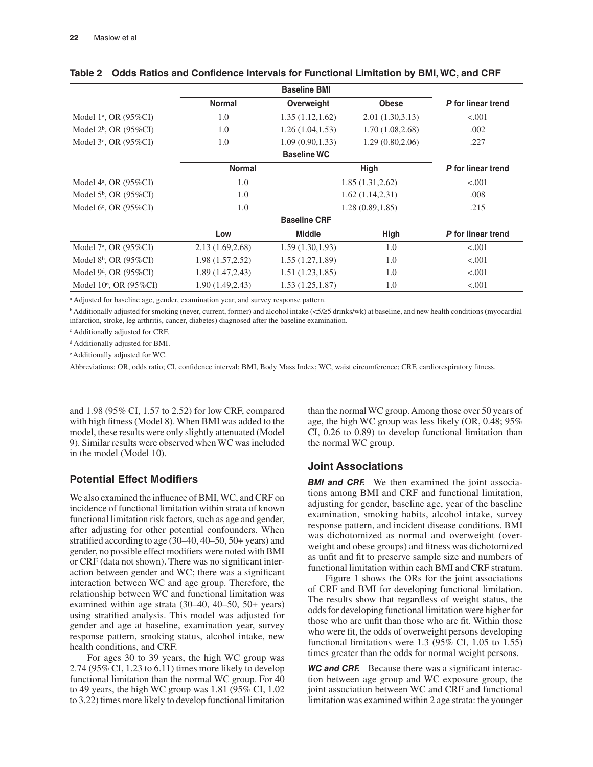|                                      |                  | <b>Baseline BMI</b> |                  |                    |
|--------------------------------------|------------------|---------------------|------------------|--------------------|
|                                      | <b>Normal</b>    | Overweight          | <b>Obese</b>     | P for linear trend |
| Model 1 <sup>a</sup> , OR $(95\%CI)$ | 1.0              | 1.35(1.12, 1.62)    | 2.01(1.30, 3.13) | < .001             |
| Model $2^b$ , OR (95%CI)             | 1.0              | 1.26(1.04, 1.53)    | 1.70(1.08, 2.68) | .002               |
| Model $3^c$ , OR (95%CI)             | 1.0              | 1.09(0.90, 1.33)    | 1.29(0.80, 2.06) | .227               |
|                                      |                  | <b>Baseline WC</b>  |                  |                    |
|                                      | <b>Normal</b>    |                     | High             | P for linear trend |
| Model $4^a$ , OR (95%CI)             | 1.0              |                     | 1.85(1.31, 2.62) | < .001             |
| Model $5^b$ , OR (95%CI)             | 1.0              |                     | 1.62(1.14, 2.31) | .008               |
| Model $6^{\circ}$ , OR (95%CI)       | 1.0              |                     | 1.28(0.89, 1.85) | .215               |
|                                      |                  | <b>Baseline CRF</b> |                  |                    |
|                                      | Low              | <b>Middle</b>       | High             | P for linear trend |
| Model $7^a$ , OR (95%CI)             | 2.13 (1.69,2.68) | 1.59(1.30, 1.93)    | 1.0              | < 0.001            |
| Model $8^b$ , OR (95%CI)             | 1.98 (1.57,2.52) | 1.55(1.27, 1.89)    | 1.0              | < .001             |
| Model $9d$ , OR (95%CI)              | 1.89(1.47, 2.43) | 1.51(1.23, 1.85)    | 1.0              | < .001             |
| Model $10^{\circ}$ , OR (95%CI)      | 1.90 (1.49,2.43) | 1.53(1.25, 1.87)    | 1.0              | < .001             |

#### **Table 2 Odds Ratios and Confidence Intervals for Functional Limitation by BMI, WC, and CRF**

a Adjusted for baseline age, gender, examination year, and survey response pattern.

b Additionally adjusted for smoking (never, current, former) and alcohol intake (<5/≥5 drinks/wk) at baseline, and new health conditions (myocardial infarction, stroke, leg arthritis, cancer, diabetes) diagnosed after the baseline examination.

c Additionally adjusted for CRF.

d Additionally adjusted for BMI.

e Additionally adjusted for WC.

Abbreviations: OR, odds ratio; CI, confidence interval; BMI, Body Mass Index; WC, waist circumference; CRF, cardiorespiratory fitness.

and 1.98 (95% CI, 1.57 to 2.52) for low CRF, compared with high fitness (Model 8). When BMI was added to the model, these results were only slightly attenuated (Model 9). Similar results were observed when WC was included in the model (Model 10).

## **Potential Effect Modifiers**

We also examined the influence of BMI, WC, and CRF on incidence of functional limitation within strata of known functional limitation risk factors, such as age and gender, after adjusting for other potential confounders. When stratified according to age (30–40, 40–50, 50+ years) and gender, no possible effect modifiers were noted with BMI or CRF (data not shown). There was no significant interaction between gender and WC; there was a significant interaction between WC and age group. Therefore, the relationship between WC and functional limitation was examined within age strata (30–40, 40–50, 50+ years) using stratified analysis. This model was adjusted for gender and age at baseline, examination year, survey response pattern, smoking status, alcohol intake, new health conditions, and CRF.

For ages 30 to 39 years, the high WC group was 2.74 (95% CI, 1.23 to 6.11) times more likely to develop functional limitation than the normal WC group. For 40 to 49 years, the high WC group was 1.81 (95% CI, 1.02 to 3.22) times more likely to develop functional limitation

than the normal WC group. Among those over 50 years of age, the high WC group was less likely (OR, 0.48; 95% CI, 0.26 to 0.89) to develop functional limitation than the normal WC group.

#### **Joint Associations**

*BMI and CRF.* We then examined the joint associations among BMI and CRF and functional limitation, adjusting for gender, baseline age, year of the baseline examination, smoking habits, alcohol intake, survey response pattern, and incident disease conditions. BMI was dichotomized as normal and overweight (overweight and obese groups) and fitness was dichotomized as unfit and fit to preserve sample size and numbers of functional limitation within each BMI and CRF stratum.

Figure 1 shows the ORs for the joint associations of CRF and BMI for developing functional limitation. The results show that regardless of weight status, the odds for developing functional limitation were higher for those who are unfit than those who are fit. Within those who were fit, the odds of overweight persons developing functional limitations were  $1.3$  (95% CI, 1.05 to 1.55) times greater than the odds for normal weight persons.

*WC and CRF.* Because there was a significant interaction between age group and WC exposure group, the joint association between WC and CRF and functional limitation was examined within 2 age strata: the younger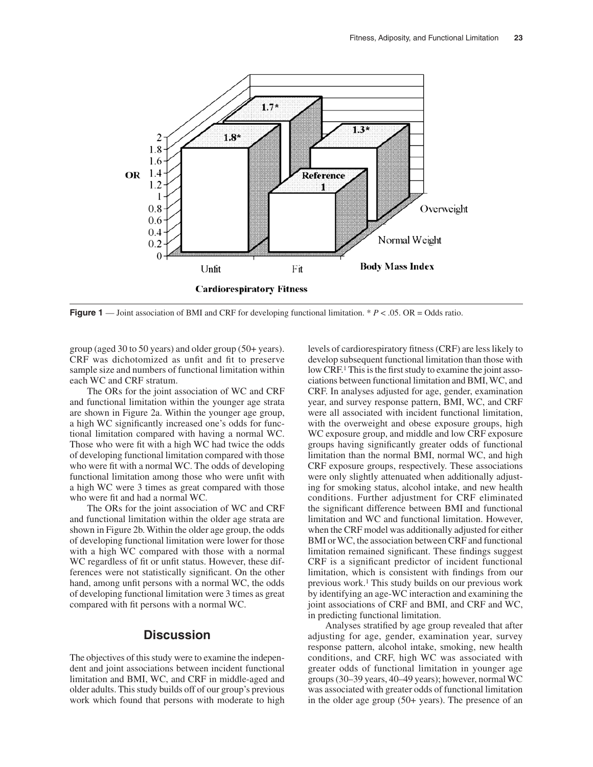

**Figure 1** — Joint association of BMI and CRF for developing functional limitation. \* *P* < .05. OR = Odds ratio.

group (aged 30 to 50 years) and older group (50+ years). CRF was dichotomized as unfit and fit to preserve sample size and numbers of functional limitation within each WC and CRF stratum.

The ORs for the joint association of WC and CRF and functional limitation within the younger age strata are shown in Figure 2a. Within the younger age group, a high WC significantly increased one's odds for functional limitation compared with having a normal WC. Those who were fit with a high WC had twice the odds of developing functional limitation compared with those who were fit with a normal WC. The odds of developing functional limitation among those who were unfit with a high WC were 3 times as great compared with those who were fit and had a normal WC.

The ORs for the joint association of WC and CRF and functional limitation within the older age strata are shown in Figure 2b. Within the older age group, the odds of developing functional limitation were lower for those with a high WC compared with those with a normal WC regardless of fit or unfit status. However, these differences were not statistically significant. On the other hand, among unfit persons with a normal WC, the odds of developing functional limitation were 3 times as great compared with fit persons with a normal WC.

## **Discussion**

The objectives of this study were to examine the independent and joint associations between incident functional limitation and BMI, WC, and CRF in middle-aged and older adults. This study builds off of our group's previous work which found that persons with moderate to high

levels of cardiorespiratory fitness (CRF) are less likely to develop subsequent functional limitation than those with low CRF.<sup>1</sup> This is the first study to examine the joint associations between functional limitation and BMI, WC, and CRF. In analyses adjusted for age, gender, examination year, and survey response pattern, BMI, WC, and CRF were all associated with incident functional limitation, with the overweight and obese exposure groups, high WC exposure group, and middle and low CRF exposure groups having significantly greater odds of functional limitation than the normal BMI, normal WC, and high CRF exposure groups, respectively. These associations were only slightly attenuated when additionally adjusting for smoking status, alcohol intake, and new health conditions. Further adjustment for CRF eliminated the significant difference between BMI and functional limitation and WC and functional limitation. However, when the CRF model was additionally adjusted for either BMI or WC, the association between CRF and functional limitation remained significant. These findings suggest CRF is a significant predictor of incident functional limitation, which is consistent with findings from our previous work.1 This study builds on our previous work by identifying an age-WC interaction and examining the joint associations of CRF and BMI, and CRF and WC, in predicting functional limitation.

Analyses stratified by age group revealed that after adjusting for age, gender, examination year, survey response pattern, alcohol intake, smoking, new health conditions, and CRF, high WC was associated with greater odds of functional limitation in younger age groups (30–39 years, 40–49 years); however, normal WC was associated with greater odds of functional limitation in the older age group (50+ years). The presence of an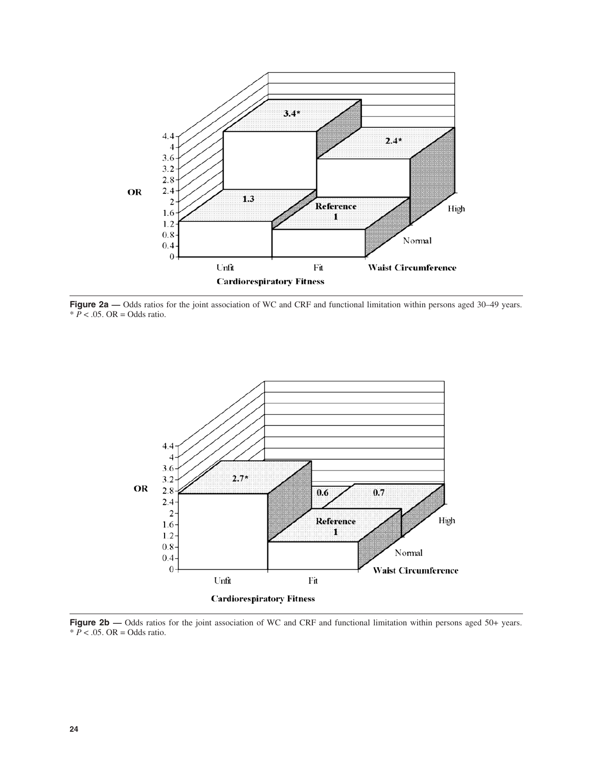

Figure 2a — Odds ratios for the joint association of WC and CRF and functional limitation within persons aged 30–49 years.  $* \overline{P}$  < .05. OR = Odds ratio.



**Figure 2b — Odds ratios for the joint association of WC and CRF and functional limitation within persons aged 50+ years.**  $* \overline{P}$  < .05. OR = Odds ratio.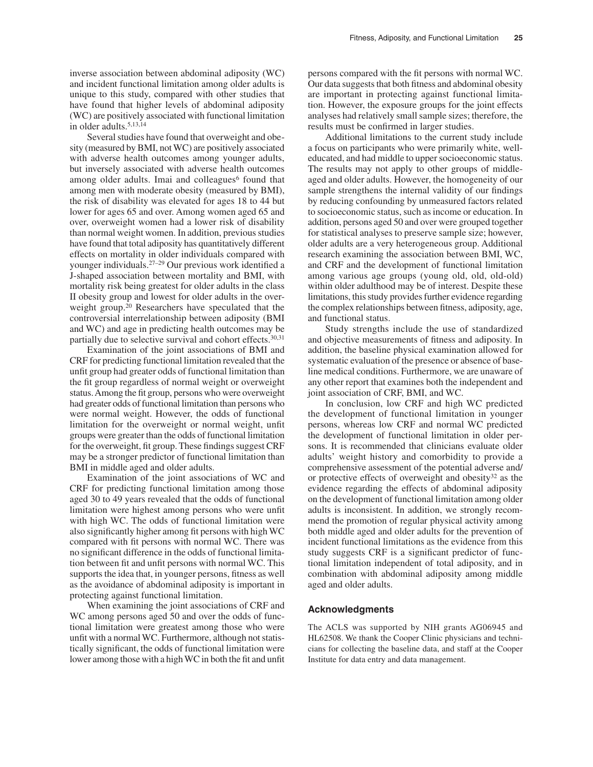Several studies have found that overweight and obesity (measured by BMI, not WC) are positively associated with adverse health outcomes among younger adults, but inversely associated with adverse health outcomes among older adults. Imai and colleagues $<sup>6</sup>$  found that</sup> among men with moderate obesity (measured by BMI), the risk of disability was elevated for ages 18 to 44 but lower for ages 65 and over. Among women aged 65 and over, overweight women had a lower risk of disability than normal weight women. In addition, previous studies have found that total adiposity has quantitatively different effects on mortality in older individuals compared with younger individuals.27–29 Our previous work identified a J-shaped association between mortality and BMI, with mortality risk being greatest for older adults in the class II obesity group and lowest for older adults in the overweight group.20 Researchers have speculated that the controversial interrelationship between adiposity (BMI and WC) and age in predicting health outcomes may be partially due to selective survival and cohort effects.30,31

Examination of the joint associations of BMI and CRF for predicting functional limitation revealed that the unfit group had greater odds of functional limitation than the fit group regardless of normal weight or overweight status. Among the fit group, persons who were overweight had greater odds of functional limitation than persons who were normal weight. However, the odds of functional limitation for the overweight or normal weight, unfit groups were greater than the odds of functional limitation for the overweight, fit group. These findings suggest CRF may be a stronger predictor of functional limitation than BMI in middle aged and older adults.

Examination of the joint associations of WC and CRF for predicting functional limitation among those aged 30 to 49 years revealed that the odds of functional limitation were highest among persons who were unfit with high WC. The odds of functional limitation were also significantly higher among fit persons with high WC compared with fit persons with normal WC. There was no significant difference in the odds of functional limitation between fit and unfit persons with normal WC. This supports the idea that, in younger persons, fitness as well as the avoidance of abdominal adiposity is important in protecting against functional limitation.

When examining the joint associations of CRF and WC among persons aged 50 and over the odds of functional limitation were greatest among those who were unfit with a normal WC. Furthermore, although not statistically significant, the odds of functional limitation were lower among those with a high WC in both the fit and unfit persons compared with the fit persons with normal WC. Our data suggests that both fitness and abdominal obesity are important in protecting against functional limitation. However, the exposure groups for the joint effects analyses had relatively small sample sizes; therefore, the results must be confirmed in larger studies.

Additional limitations to the current study include a focus on participants who were primarily white, welleducated, and had middle to upper socioeconomic status. The results may not apply to other groups of middleaged and older adults. However, the homogeneity of our sample strengthens the internal validity of our findings by reducing confounding by unmeasured factors related to socioeconomic status, such as income or education. In addition, persons aged 50 and over were grouped together for statistical analyses to preserve sample size; however, older adults are a very heterogeneous group. Additional research examining the association between BMI, WC, and CRF and the development of functional limitation among various age groups (young old, old, old-old) within older adulthood may be of interest. Despite these limitations, this study provides further evidence regarding the complex relationships between fitness, adiposity, age, and functional status.

Study strengths include the use of standardized and objective measurements of fitness and adiposity. In addition, the baseline physical examination allowed for systematic evaluation of the presence or absence of baseline medical conditions. Furthermore, we are unaware of any other report that examines both the independent and joint association of CRF, BMI, and WC.

In conclusion, low CRF and high WC predicted the development of functional limitation in younger persons, whereas low CRF and normal WC predicted the development of functional limitation in older persons. It is recommended that clinicians evaluate older adults' weight history and comorbidity to provide a comprehensive assessment of the potential adverse and/ or protective effects of overweight and obesity<sup>32</sup> as the evidence regarding the effects of abdominal adiposity on the development of functional limitation among older adults is inconsistent. In addition, we strongly recommend the promotion of regular physical activity among both middle aged and older adults for the prevention of incident functional limitations as the evidence from this study suggests CRF is a significant predictor of functional limitation independent of total adiposity, and in combination with abdominal adiposity among middle aged and older adults.

#### **Acknowledgments**

The ACLS was supported by NIH grants AG06945 and HL62508. We thank the Cooper Clinic physicians and technicians for collecting the baseline data, and staff at the Cooper Institute for data entry and data management.